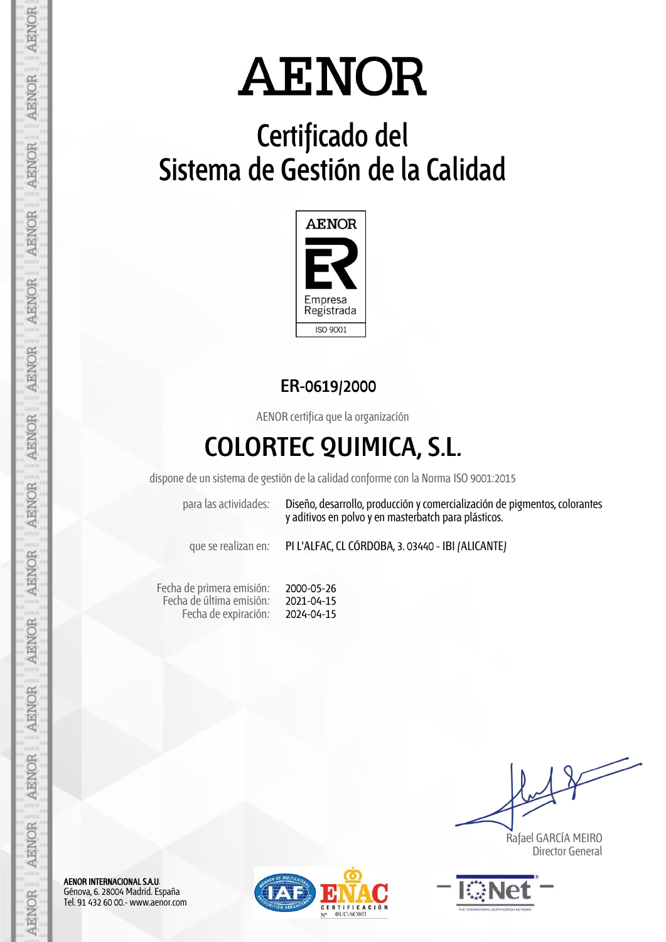## **Certificado del Sistema de Gestión de la Calidad**



### **ER-0619/2000**

AENOR certifica que la organización

## **COLORTEC QUIMICA, S.L.**

dispone de un sistema de gestión de la calidad conforme con la Norma ISO 9001:2015

para las actividades: Diseño, desarrollo, producción y comercialización de pigmentos, colorantes y aditivos en polvo y en masterbatch para plásticos.

que se realizan en: PI L'ALFAC, CL CÓRDOBA, 3. 03440 - IBI (ALICANTE)

Fecha de primera emisión: Fecha de última emisión: Fecha de expiración:

2000-05-26 2021-04-15 2024-04-15

 Rafael GARCÍA MEIRO Director General



AENOR INTERNACIONAL S.A.U. Génova, 6. 28004 Madrid. España Tel. 91 432 60 00.- www.aenor.com